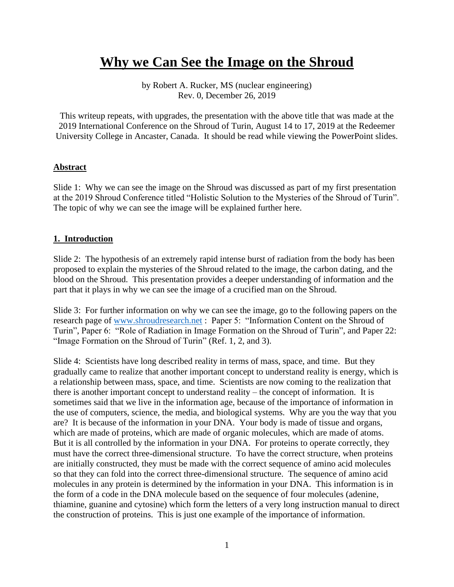# **Why we Can See the Image on the Shroud**

by Robert A. Rucker, MS (nuclear engineering) Rev. 0, December 26, 2019

This writeup repeats, with upgrades, the presentation with the above title that was made at the 2019 International Conference on the Shroud of Turin, August 14 to 17, 2019 at the Redeemer University College in Ancaster, Canada. It should be read while viewing the PowerPoint slides.

### **Abstract**

Slide 1: Why we can see the image on the Shroud was discussed as part of my first presentation at the 2019 Shroud Conference titled "Holistic Solution to the Mysteries of the Shroud of Turin". The topic of why we can see the image will be explained further here.

### **1. Introduction**

Slide 2: The hypothesis of an extremely rapid intense burst of radiation from the body has been proposed to explain the mysteries of the Shroud related to the image, the carbon dating, and the blood on the Shroud. This presentation provides a deeper understanding of information and the part that it plays in why we can see the image of a crucified man on the Shroud.

Slide 3: For further information on why we can see the image, go to the following papers on the research page of [www.shroudresearch.net](http://www.shroudresearch.net/) : Paper 5: "Information Content on the Shroud of Turin", Paper 6: "Role of Radiation in Image Formation on the Shroud of Turin", and Paper 22: "Image Formation on the Shroud of Turin" (Ref. 1, 2, and 3).

Slide 4: Scientists have long described reality in terms of mass, space, and time. But they gradually came to realize that another important concept to understand reality is energy, which is a relationship between mass, space, and time. Scientists are now coming to the realization that there is another important concept to understand reality – the concept of information. It is sometimes said that we live in the information age, because of the importance of information in the use of computers, science, the media, and biological systems. Why are you the way that you are? It is because of the information in your DNA. Your body is made of tissue and organs, which are made of proteins, which are made of organic molecules, which are made of atoms. But it is all controlled by the information in your DNA. For proteins to operate correctly, they must have the correct three-dimensional structure. To have the correct structure, when proteins are initially constructed, they must be made with the correct sequence of amino acid molecules so that they can fold into the correct three-dimensional structure. The sequence of amino acid molecules in any protein is determined by the information in your DNA. This information is in the form of a code in the DNA molecule based on the sequence of four molecules (adenine, thiamine, guanine and cytosine) which form the letters of a very long instruction manual to direct the construction of proteins. This is just one example of the importance of information.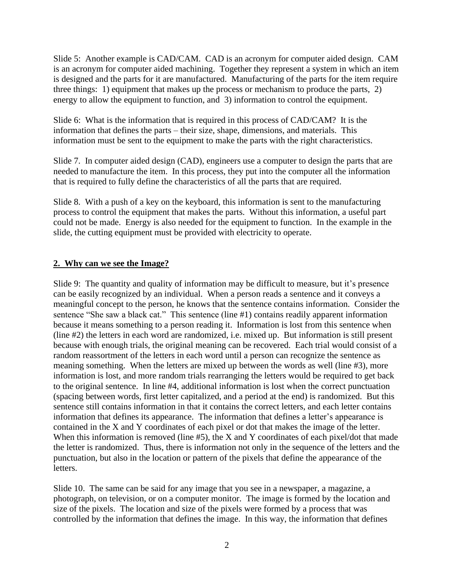Slide 5: Another example is CAD/CAM. CAD is an acronym for computer aided design. CAM is an acronym for computer aided machining. Together they represent a system in which an item is designed and the parts for it are manufactured. Manufacturing of the parts for the item require three things: 1) equipment that makes up the process or mechanism to produce the parts, 2) energy to allow the equipment to function, and 3) information to control the equipment.

Slide 6: What is the information that is required in this process of CAD/CAM? It is the information that defines the parts – their size, shape, dimensions, and materials. This information must be sent to the equipment to make the parts with the right characteristics.

Slide 7. In computer aided design (CAD), engineers use a computer to design the parts that are needed to manufacture the item. In this process, they put into the computer all the information that is required to fully define the characteristics of all the parts that are required.

Slide 8. With a push of a key on the keyboard, this information is sent to the manufacturing process to control the equipment that makes the parts. Without this information, a useful part could not be made. Energy is also needed for the equipment to function. In the example in the slide, the cutting equipment must be provided with electricity to operate.

# **2. Why can we see the Image?**

Slide 9: The quantity and quality of information may be difficult to measure, but it's presence can be easily recognized by an individual. When a person reads a sentence and it conveys a meaningful concept to the person, he knows that the sentence contains information. Consider the sentence "She saw a black cat." This sentence (line #1) contains readily apparent information because it means something to a person reading it. Information is lost from this sentence when (line #2) the letters in each word are randomized, i.e. mixed up. But information is still present because with enough trials, the original meaning can be recovered. Each trial would consist of a random reassortment of the letters in each word until a person can recognize the sentence as meaning something. When the letters are mixed up between the words as well (line #3), more information is lost, and more random trials rearranging the letters would be required to get back to the original sentence. In line #4, additional information is lost when the correct punctuation (spacing between words, first letter capitalized, and a period at the end) is randomized. But this sentence still contains information in that it contains the correct letters, and each letter contains information that defines its appearance. The information that defines a letter's appearance is contained in the X and Y coordinates of each pixel or dot that makes the image of the letter. When this information is removed (line #5), the X and Y coordinates of each pixel/dot that made the letter is randomized. Thus, there is information not only in the sequence of the letters and the punctuation, but also in the location or pattern of the pixels that define the appearance of the letters.

Slide 10. The same can be said for any image that you see in a newspaper, a magazine, a photograph, on television, or on a computer monitor. The image is formed by the location and size of the pixels. The location and size of the pixels were formed by a process that was controlled by the information that defines the image. In this way, the information that defines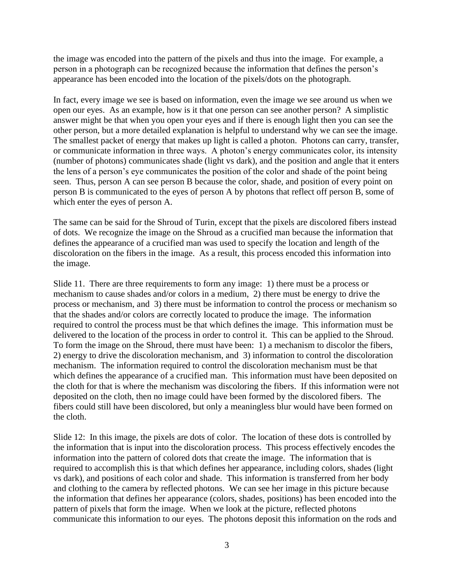the image was encoded into the pattern of the pixels and thus into the image. For example, a person in a photograph can be recognized because the information that defines the person's appearance has been encoded into the location of the pixels/dots on the photograph.

In fact, every image we see is based on information, even the image we see around us when we open our eyes. As an example, how is it that one person can see another person? A simplistic answer might be that when you open your eyes and if there is enough light then you can see the other person, but a more detailed explanation is helpful to understand why we can see the image. The smallest packet of energy that makes up light is called a photon. Photons can carry, transfer, or communicate information in three ways. A photon's energy communicates color, its intensity (number of photons) communicates shade (light vs dark), and the position and angle that it enters the lens of a person's eye communicates the position of the color and shade of the point being seen. Thus, person A can see person B because the color, shade, and position of every point on person B is communicated to the eyes of person A by photons that reflect off person B, some of which enter the eyes of person A.

The same can be said for the Shroud of Turin, except that the pixels are discolored fibers instead of dots. We recognize the image on the Shroud as a crucified man because the information that defines the appearance of a crucified man was used to specify the location and length of the discoloration on the fibers in the image. As a result, this process encoded this information into the image.

Slide 11. There are three requirements to form any image: 1) there must be a process or mechanism to cause shades and/or colors in a medium, 2) there must be energy to drive the process or mechanism, and 3) there must be information to control the process or mechanism so that the shades and/or colors are correctly located to produce the image. The information required to control the process must be that which defines the image. This information must be delivered to the location of the process in order to control it. This can be applied to the Shroud. To form the image on the Shroud, there must have been: 1) a mechanism to discolor the fibers, 2) energy to drive the discoloration mechanism, and 3) information to control the discoloration mechanism. The information required to control the discoloration mechanism must be that which defines the appearance of a crucified man. This information must have been deposited on the cloth for that is where the mechanism was discoloring the fibers. If this information were not deposited on the cloth, then no image could have been formed by the discolored fibers. The fibers could still have been discolored, but only a meaningless blur would have been formed on the cloth.

Slide 12: In this image, the pixels are dots of color. The location of these dots is controlled by the information that is input into the discoloration process. This process effectively encodes the information into the pattern of colored dots that create the image. The information that is required to accomplish this is that which defines her appearance, including colors, shades (light vs dark), and positions of each color and shade. This information is transferred from her body and clothing to the camera by reflected photons. We can see her image in this picture because the information that defines her appearance (colors, shades, positions) has been encoded into the pattern of pixels that form the image. When we look at the picture, reflected photons communicate this information to our eyes. The photons deposit this information on the rods and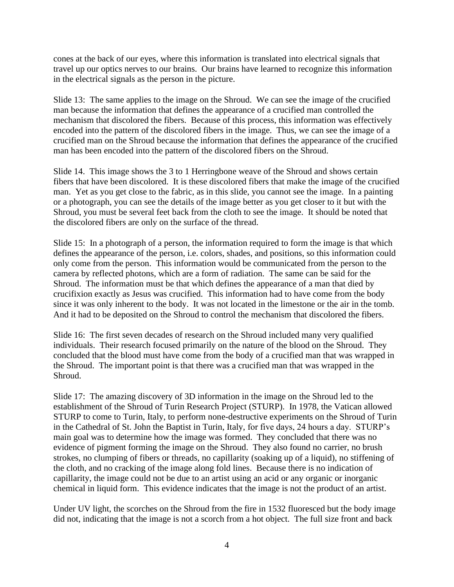cones at the back of our eyes, where this information is translated into electrical signals that travel up our optics nerves to our brains. Our brains have learned to recognize this information in the electrical signals as the person in the picture.

Slide 13: The same applies to the image on the Shroud. We can see the image of the crucified man because the information that defines the appearance of a crucified man controlled the mechanism that discolored the fibers. Because of this process, this information was effectively encoded into the pattern of the discolored fibers in the image. Thus, we can see the image of a crucified man on the Shroud because the information that defines the appearance of the crucified man has been encoded into the pattern of the discolored fibers on the Shroud.

Slide 14. This image shows the 3 to 1 Herringbone weave of the Shroud and shows certain fibers that have been discolored. It is these discolored fibers that make the image of the crucified man. Yet as you get close to the fabric, as in this slide, you cannot see the image. In a painting or a photograph, you can see the details of the image better as you get closer to it but with the Shroud, you must be several feet back from the cloth to see the image. It should be noted that the discolored fibers are only on the surface of the thread.

Slide 15: In a photograph of a person, the information required to form the image is that which defines the appearance of the person, i.e. colors, shades, and positions, so this information could only come from the person. This information would be communicated from the person to the camera by reflected photons, which are a form of radiation. The same can be said for the Shroud. The information must be that which defines the appearance of a man that died by crucifixion exactly as Jesus was crucified. This information had to have come from the body since it was only inherent to the body. It was not located in the limestone or the air in the tomb. And it had to be deposited on the Shroud to control the mechanism that discolored the fibers.

Slide 16: The first seven decades of research on the Shroud included many very qualified individuals. Their research focused primarily on the nature of the blood on the Shroud. They concluded that the blood must have come from the body of a crucified man that was wrapped in the Shroud. The important point is that there was a crucified man that was wrapped in the Shroud.

Slide 17: The amazing discovery of 3D information in the image on the Shroud led to the establishment of the Shroud of Turin Research Project (STURP). In 1978, the Vatican allowed STURP to come to Turin, Italy, to perform none-destructive experiments on the Shroud of Turin in the Cathedral of St. John the Baptist in Turin, Italy, for five days, 24 hours a day. STURP's main goal was to determine how the image was formed. They concluded that there was no evidence of pigment forming the image on the Shroud. They also found no carrier, no brush strokes, no clumping of fibers or threads, no capillarity (soaking up of a liquid), no stiffening of the cloth, and no cracking of the image along fold lines. Because there is no indication of capillarity, the image could not be due to an artist using an acid or any organic or inorganic chemical in liquid form. This evidence indicates that the image is not the product of an artist.

Under UV light, the scorches on the Shroud from the fire in 1532 fluoresced but the body image did not, indicating that the image is not a scorch from a hot object. The full size front and back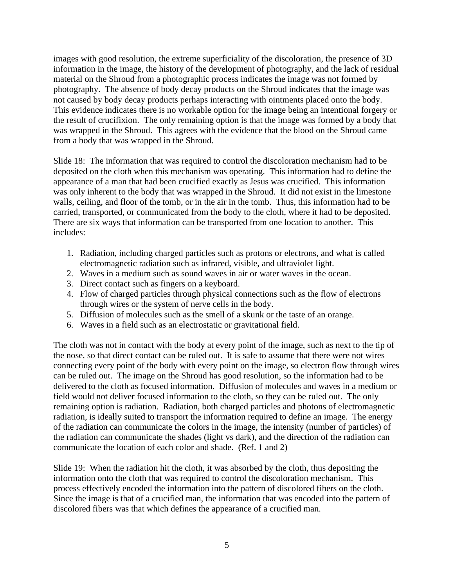images with good resolution, the extreme superficiality of the discoloration, the presence of 3D information in the image, the history of the development of photography, and the lack of residual material on the Shroud from a photographic process indicates the image was not formed by photography. The absence of body decay products on the Shroud indicates that the image was not caused by body decay products perhaps interacting with ointments placed onto the body. This evidence indicates there is no workable option for the image being an intentional forgery or the result of crucifixion. The only remaining option is that the image was formed by a body that was wrapped in the Shroud. This agrees with the evidence that the blood on the Shroud came from a body that was wrapped in the Shroud.

Slide 18: The information that was required to control the discoloration mechanism had to be deposited on the cloth when this mechanism was operating. This information had to define the appearance of a man that had been crucified exactly as Jesus was crucified. This information was only inherent to the body that was wrapped in the Shroud. It did not exist in the limestone walls, ceiling, and floor of the tomb, or in the air in the tomb. Thus, this information had to be carried, transported, or communicated from the body to the cloth, where it had to be deposited. There are six ways that information can be transported from one location to another. This includes:

- 1. Radiation, including charged particles such as protons or electrons, and what is called electromagnetic radiation such as infrared, visible, and ultraviolet light.
- 2. Waves in a medium such as sound waves in air or water waves in the ocean.
- 3. Direct contact such as fingers on a keyboard.
- 4. Flow of charged particles through physical connections such as the flow of electrons through wires or the system of nerve cells in the body.
- 5. Diffusion of molecules such as the smell of a skunk or the taste of an orange.
- 6. Waves in a field such as an electrostatic or gravitational field.

The cloth was not in contact with the body at every point of the image, such as next to the tip of the nose, so that direct contact can be ruled out. It is safe to assume that there were not wires connecting every point of the body with every point on the image, so electron flow through wires can be ruled out. The image on the Shroud has good resolution, so the information had to be delivered to the cloth as focused information. Diffusion of molecules and waves in a medium or field would not deliver focused information to the cloth, so they can be ruled out. The only remaining option is radiation. Radiation, both charged particles and photons of electromagnetic radiation, is ideally suited to transport the information required to define an image. The energy of the radiation can communicate the colors in the image, the intensity (number of particles) of the radiation can communicate the shades (light vs dark), and the direction of the radiation can communicate the location of each color and shade. (Ref. 1 and 2)

Slide 19: When the radiation hit the cloth, it was absorbed by the cloth, thus depositing the information onto the cloth that was required to control the discoloration mechanism. This process effectively encoded the information into the pattern of discolored fibers on the cloth. Since the image is that of a crucified man, the information that was encoded into the pattern of discolored fibers was that which defines the appearance of a crucified man.